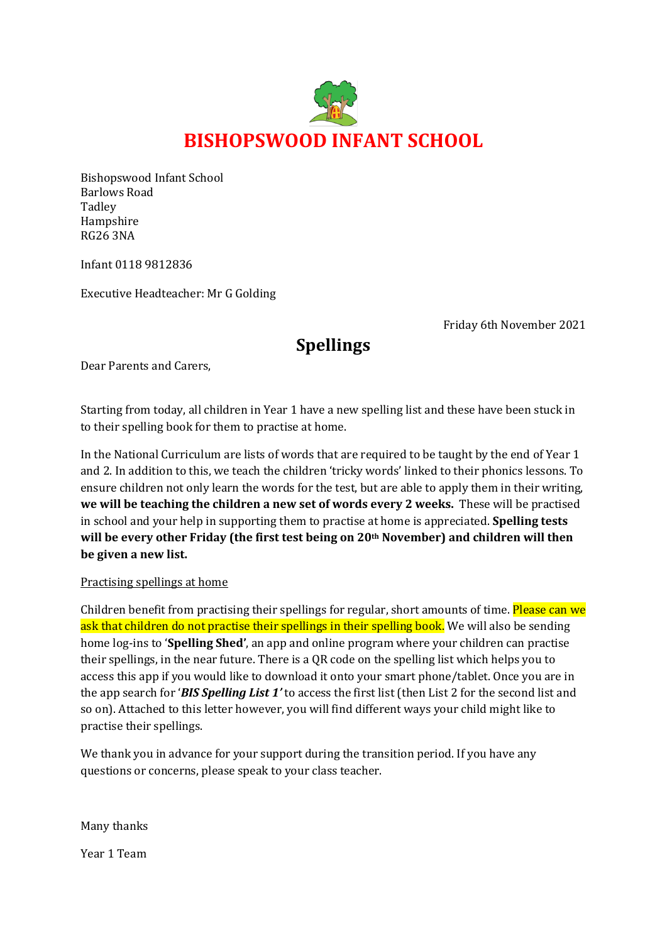

Bishopswood Infant School Barlows Road Tadley Hampshire RG26 3NA

Infant 0118 9812836

Executive Headteacher: Mr G Golding

Friday 6th November 2021

## **Spellings**

Dear Parents and Carers,

Starting from today, all children in Year 1 have a new spelling list and these have been stuck in to their spelling book for them to practise at home.

In the National Curriculum are lists of words that are required to be taught by the end of Year 1 and 2. In addition to this, we teach the children 'tricky words' linked to their phonics lessons. To ensure children not only learn the words for the test, but are able to apply them in their writing, **we will be teaching the children a new set of words every 2 weeks.** These will be practised in school and your help in supporting them to practise at home is appreciated. **Spelling tests will be every other Friday (the first test being on 20th November) and children will then be given a new list.**

## Practising spellings at home

Children benefit from practising their spellings for regular, short amounts of time. Please can we ask that children do not practise their spellings in their spelling book. We will also be sending home log-ins to '**Spelling Shed'**, an app and online program where your children can practise their spellings, in the near future. There is a QR code on the spelling list which helps you to access this app if you would like to download it onto your smart phone/tablet. Once you are in the app search for '*BIS Spelling List 1'* to access the first list (then List 2 for the second list and so on). Attached to this letter however, you will find different ways your child might like to practise their spellings.

We thank you in advance for your support during the transition period. If you have any questions or concerns, please speak to your class teacher.

Many thanks

Year 1 Team